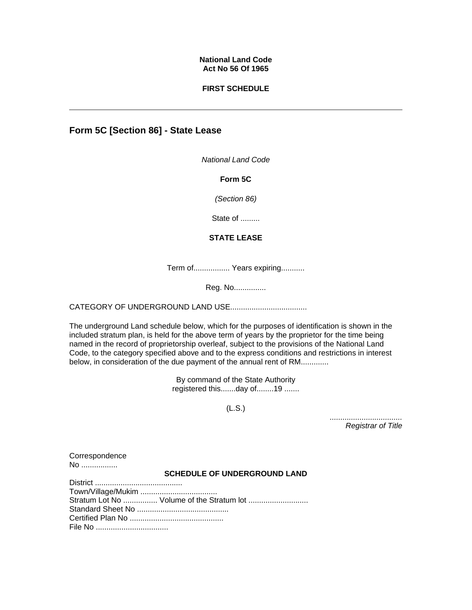### **National Land Code Act No 56 Of 1965**

### **FIRST SCHEDULE**

# **Form 5C [Section 86] - State Lease**

*National Land Code*

**Form 5C**

*(Section 86)*

State of .........

## **STATE LEASE**

Term of................. Years expiring...........

Reg. No...............

CATEGORY OF UNDERGROUND LAND USE....................................

The underground Land schedule below, which for the purposes of identification is shown in the included stratum plan, is held for the above term of years by the proprietor for the time being named in the record of proprietorship overleaf, subject to the provisions of the National Land Code, to the category specified above and to the express conditions and restrictions in interest below, in consideration of the due payment of the annual rent of RM.............

> By command of the State Authority registered this.......day of........19 .......

> > (L.S.)

*.................................. Registrar of Title* 

**Correspondence** No ..................

#### **SCHEDULE OF UNDERGROUND LAND**